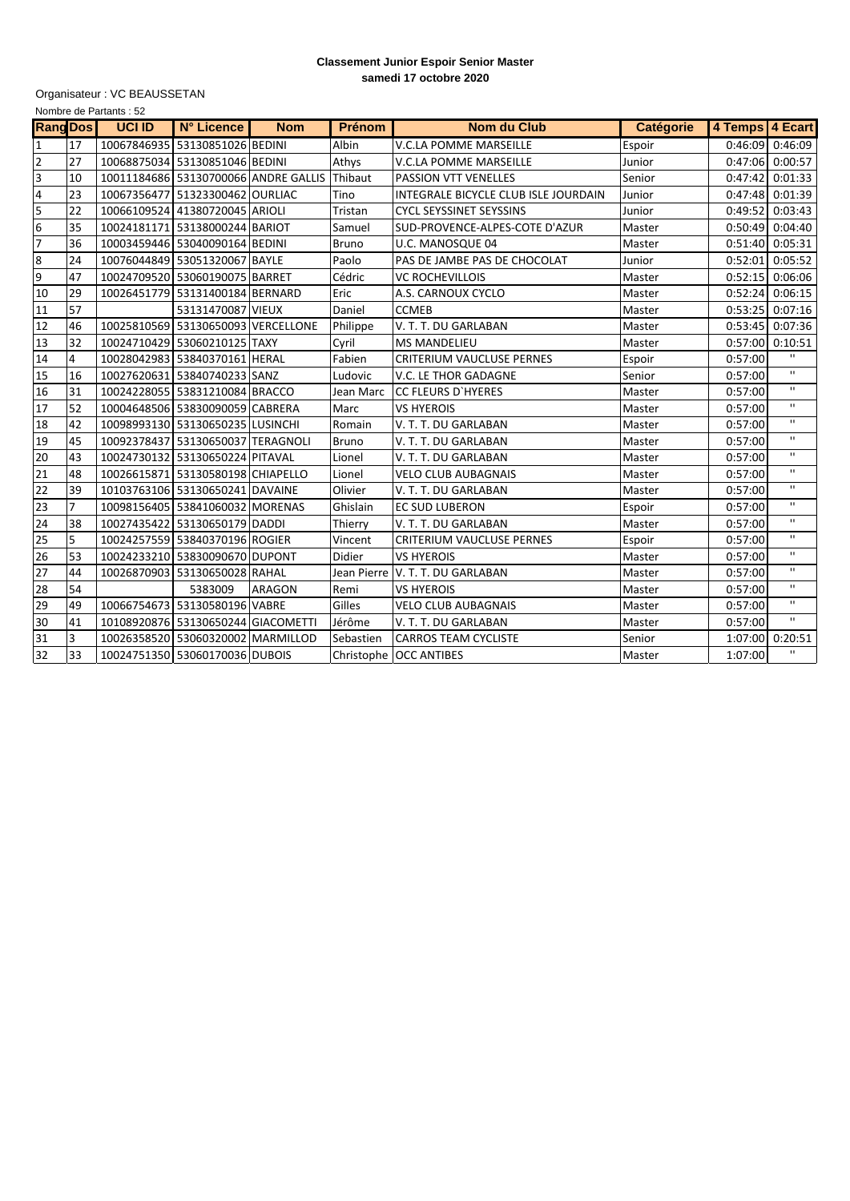## **Classement Junior Espoir Senior Master samedi 17 octobre 2020**

Organisateur : VC BEAUSSETAN

| Nombre de Partants: 52 |                |               |                                    |                                      |               |                                      |                  |                 |                   |
|------------------------|----------------|---------------|------------------------------------|--------------------------------------|---------------|--------------------------------------|------------------|-----------------|-------------------|
| <b>Rang Dos</b>        |                | <b>UCI ID</b> | N° Licence                         | <b>Nom</b>                           | <b>Prénom</b> | <b>Nom du Club</b>                   | <b>Catégorie</b> | 4 Temps 4 Ecart |                   |
| 1                      | 17             |               | 10067846935 53130851026 BEDINI     |                                      | <b>Albin</b>  | <b>V.C.LA POMME MARSEILLE</b>        | Espoir           | 0:46:09         | 0:46:09           |
| $\overline{2}$         | 27             |               | 10068875034 53130851046 BEDINI     |                                      | Athys         | <b>V.C.LA POMME MARSEILLE</b>        | Junior           | 0:47:06         | 0:00:57           |
| 3                      | 10             |               |                                    | 10011184686 53130700066 ANDRE GALLIS | Thibaut       | PASSION VTT VENELLES                 | Senior           | 0:47:42         | 0:01:33           |
| 4                      | 23             |               | 10067356477 51323300462 OURLIAC    |                                      | Tino          | INTEGRALE BICYCLE CLUB ISLE JOURDAIN | Junior           | 0:47:48         | 0:01:39           |
| $\overline{5}$         | 22             |               | 10066109524 41380720045 ARIOLI     |                                      | Tristan       | <b>CYCL SEYSSINET SEYSSINS</b>       | Junior           | 0:49:52         | 0:03:43           |
| 6                      | 35             |               | 10024181171 53138000244 BARIOT     |                                      | Samuel        | SUD-PROVENCE-ALPES-COTE D'AZUR       | Master           |                 | $0:50:49$ 0:04:40 |
| $\overline{7}$         | 36             |               | 10003459446 53040090164 BEDINI     |                                      | <b>Bruno</b>  | U.C. MANOSQUE 04                     | Master           | 0:51:40         | 0:05:31           |
| 8                      | 24             |               | 10076044849 53051320067 BAYLE      |                                      | Paolo         | PAS DE JAMBE PAS DE CHOCOLAT         | Junior           | 0:52:01         | 0:05:52           |
| 9                      | 47             |               | 10024709520 53060190075 BARRET     |                                      | Cédric        | <b>VC ROCHEVILLOIS</b>               | Master           | 0:52:15         | 0:06:06           |
| 10                     | 29             |               | 10026451779 53131400184 BERNARD    |                                      | Eric          | A.S. CARNOUX CYCLO                   | Master           | 0:52:24         | 0:06:15           |
| 11                     | 57             |               | 53131470087 VIEUX                  |                                      | Daniel        | <b>CCMEB</b>                         | Master           | 0:53:25         | 0:07:16           |
| 12                     | 46             |               | 10025810569 53130650093 VERCELLONE |                                      | Philippe      | V. T. T. DU GARLABAN                 | Master           | 0:53:45         | 0:07:36           |
| 13                     | 32             |               | 10024710429 53060210125 TAXY       |                                      | Cyril         | <b>MS MANDELIEU</b>                  | Master           | 0:57:00         | 0:10:51           |
| 14                     | 4              |               | 10028042983 53840370161 HERAL      |                                      | Fabien        | <b>CRITERIUM VAUCLUSE PERNES</b>     | Espoir           | 0:57:00         | $\mathbf{H}$      |
| 15                     | 16             |               | 10027620631 53840740233 SANZ       |                                      | Ludovic       | V.C. LE THOR GADAGNE                 | Senior           | 0:57:00         | $\mathbf{H}$      |
| 16                     | 31             |               | 10024228055 53831210084 BRACCO     |                                      | Jean Marc     | CC FLEURS D'HYERES                   | Master           | 0:57:00         | $\mathbf{H}$      |
| 17                     | 52             |               | 10004648506 53830090059 CABRERA    |                                      | Marc          | <b>VS HYEROIS</b>                    | Master           | 0:57:00         | $\mathbf H$       |
| 18                     | 42             |               | 10098993130 53130650235 LUSINCHI   |                                      | Romain        | V. T. T. DU GARLABAN                 | Master           | 0:57:00         | $\mathbf{H}$      |
| 19                     | 45             |               | 10092378437 53130650037 TERAGNOLI  |                                      | <b>Bruno</b>  | V. T. T. DU GARLABAN                 | Master           | 0:57:00         | $\mathbf{H}$      |
| 20                     | 43             |               | 10024730132 53130650224 PITAVAL    |                                      | Lionel        | V. T. T. DU GARLABAN                 | Master           | 0:57:00         | $\mathbf{H}$      |
| 21                     | 48             |               | 10026615871 53130580198 CHIAPELLO  |                                      | Lionel        | <b>VELO CLUB AUBAGNAIS</b>           | Master           | 0:57:00         | $\blacksquare$    |
| 22                     | 39             |               | 10103763106 53130650241 DAVAINE    |                                      | Olivier       | V. T. T. DU GARLABAN                 | Master           | 0:57:00         | $\mathbf{H}$      |
| 23                     | $\overline{7}$ |               | 10098156405 53841060032 MORENAS    |                                      | Ghislain      | <b>EC SUD LUBERON</b>                | Espoir           | 0:57:00         | $\mathbf{H}$      |
| 24                     | 38             |               | 10027435422 53130650179 DADDI      |                                      | Thierry       | V. T. T. DU GARLABAN                 | Master           | 0:57:00         | $\mathbf{H}$      |
| 25                     | 5              |               | 10024257559 53840370196 ROGIER     |                                      | Vincent       | <b>CRITERIUM VAUCLUSE PERNES</b>     | Espoir           | 0:57:00         | $\mathbf{H}$      |
| 26                     | 53             |               | 10024233210 53830090670 DUPONT     |                                      | Didier        | <b>VS HYEROIS</b>                    | Master           | 0:57:00         | $\mathbf{H}$      |
| 27                     | 44             |               | 10026870903 53130650028 RAHAL      |                                      |               | Jean Pierre V. T. T. DU GARLABAN     | Master           | 0:57:00         | $\mathbf{H}$      |
| 28                     | 54             |               | 5383009                            | <b>ARAGON</b>                        | Remi          | <b>VS HYEROIS</b>                    | Master           | 0:57:00         | $\mathbf{H}$      |
| 29                     | 49             |               | 10066754673 53130580196 VABRE      |                                      | Gilles        | <b>VELO CLUB AUBAGNAIS</b>           | Master           | 0:57:00         | $\mathbf{H}$      |
| 30                     | 41             |               | 10108920876 53130650244 GIACOMETTI |                                      | Jérôme        | V. T. T. DU GARLABAN                 | Master           | 0:57:00         | $\mathbf{H}$      |
| 31                     | 3              |               | 10026358520 53060320002 MARMILLOD  |                                      | Sebastien     | <b>CARROS TEAM CYCLISTE</b>          | Senior           | 1:07:00         | 0:20:51           |
| 32                     | 33             |               | 10024751350 53060170036 DUBOIS     |                                      |               | Christophe   OCC ANTIBES             | Master           | 1:07:00         | $\mathbf{H}$      |